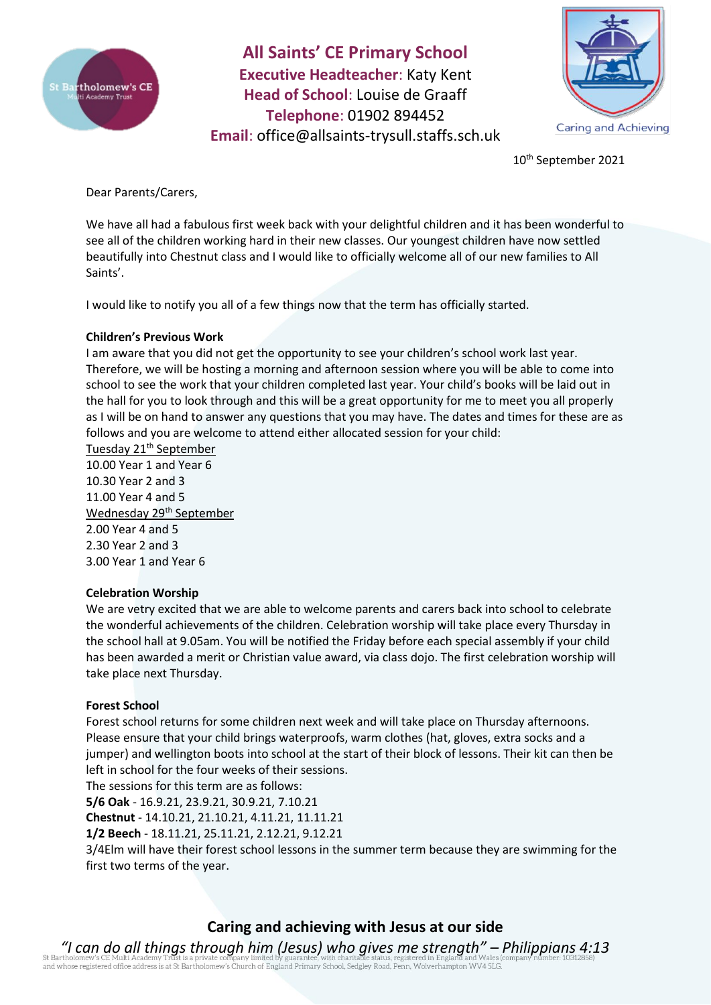

**All Saints' CE Primary School Executive Headteacher**: Katy Kent **Head of School**: Louise de Graaff **Telephone**: 01902 894452 **Email**: [office@allsaints-trysull.staffs.sch.uk](mailto:office@allsaints-trysull.staffs.sch.uk)



10th September 2021

Dear Parents/Carers,

We have all had a fabulous first week back with your delightful children and it has been wonderful to see all of the children working hard in their new classes. Our youngest children have now settled beautifully into Chestnut class and I would like to officially welcome all of our new families to All Saints'.

I would like to notify you all of a few things now that the term has officially started.

## **Children's Previous Work**

I am aware that you did not get the opportunity to see your children's school work last year. Therefore, we will be hosting a morning and afternoon session where you will be able to come into school to see the work that your children completed last year. Your child's books will be laid out in the hall for you to look through and this will be a great opportunity for me to meet you all properly as I will be on hand to answer any questions that you may have. The dates and times for these are as follows and you are welcome to attend either allocated session for your child:

Tuesday 21<sup>th</sup> September 10.00 Year 1 and Year 6 10.30 Year 2 and 3 11.00 Year 4 and 5 Wednesday 29<sup>th</sup> September 2.00 Year 4 and 5 2.30 Year 2 and 3 3.00 Year 1 and Year 6

## **Celebration Worship**

We are vetry excited that we are able to welcome parents and carers back into school to celebrate the wonderful achievements of the children. Celebration worship will take place every Thursday in the school hall at 9.05am. You will be notified the Friday before each special assembly if your child has been awarded a merit or Christian value award, via class dojo. The first celebration worship will take place next Thursday.

## **Forest School**

Forest school returns for some children next week and will take place on Thursday afternoons. Please ensure that your child brings waterproofs, warm clothes (hat, gloves, extra socks and a jumper) and wellington boots into school at the start of their block of lessons. Their kit can then be left in school for the four weeks of their sessions.

The sessions for this term are as follows:

**5/6 Oak** - 16.9.21, 23.9.21, 30.9.21, 7.10.21

**Chestnut** - 14.10.21, 21.10.21, 4.11.21, 11.11.21

**1/2 Beech** - 18.11.21, 25.11.21, 2.12.21, 9.12.21

3/4Elm will have their forest school lessons in the summer term because they are swimming for the first two terms of the year.

# **Caring and achieving with Jesus at our side**

*"I can do all things through him (Jesus) who gives me strength" – Philippians 4:13* of a discovering of the discovering in the product of England Primary School, Sedgley Road, Penn, Wolverhampton WV4 5LG.<br>and whose registered office address is at St Bartholomew's Church of England Primary School, Sedgley